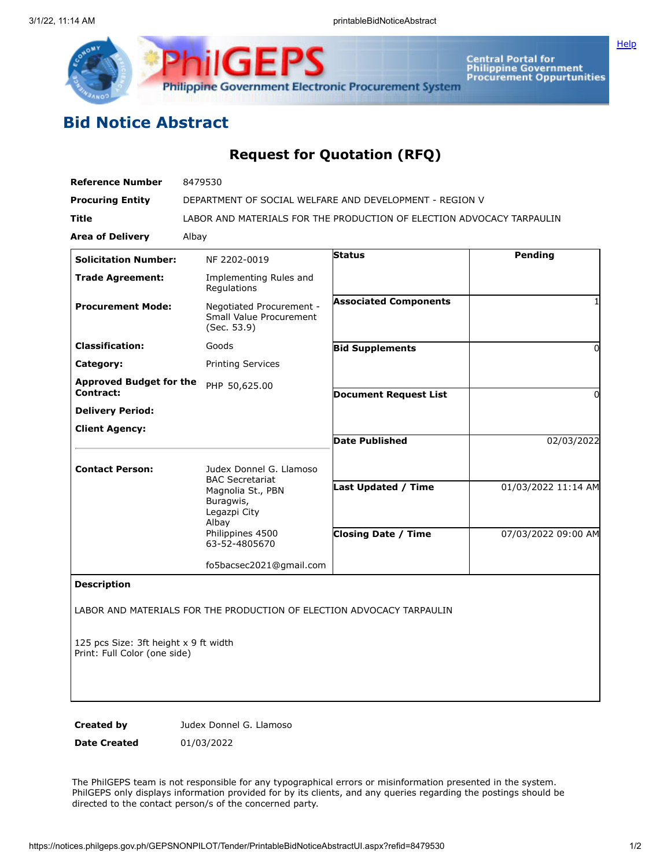

Central Portal for<br>Philippine Government<br>Procurement Oppurtunities

## **Bid Notice Abstract**

## **Request for Quotation (RFQ)**

| <b>Reference Number</b>                                               | 8479530                                                                           |                              |                     |
|-----------------------------------------------------------------------|-----------------------------------------------------------------------------------|------------------------------|---------------------|
| <b>Procuring Entity</b>                                               | DEPARTMENT OF SOCIAL WELFARE AND DEVELOPMENT - REGION V                           |                              |                     |
| Title                                                                 | LABOR AND MATERIALS FOR THE PRODUCTION OF ELECTION ADVOCACY TARPAULIN             |                              |                     |
| <b>Area of Delivery</b>                                               | Albay                                                                             |                              |                     |
| <b>Solicitation Number:</b>                                           | NF 2202-0019                                                                      | <b>Status</b>                | Pending             |
| <b>Trade Agreement:</b>                                               | Implementing Rules and<br>Regulations                                             |                              |                     |
| <b>Procurement Mode:</b>                                              | Negotiated Procurement -<br>Small Value Procurement<br>(Sec. 53.9)                | <b>Associated Components</b> | 1                   |
| <b>Classification:</b>                                                | Goods                                                                             | <b>Bid Supplements</b>       | 0                   |
| Category:                                                             | <b>Printing Services</b>                                                          |                              |                     |
| <b>Approved Budget for the</b><br>Contract:                           | PHP 50,625.00                                                                     | <b>Document Request List</b> | $\Omega$            |
| <b>Delivery Period:</b>                                               |                                                                                   |                              |                     |
| <b>Client Agency:</b>                                                 |                                                                                   |                              |                     |
|                                                                       |                                                                                   | <b>Date Published</b>        | 02/03/2022          |
| <b>Contact Person:</b>                                                | Judex Donnel G. Llamoso                                                           |                              |                     |
|                                                                       | <b>BAC Secretariat</b><br>Magnolia St., PBN<br>Buragwis,<br>Legazpi City<br>Albay | Last Updated / Time          | 01/03/2022 11:14 AM |
|                                                                       | Philippines 4500<br>63-52-4805670                                                 | <b>Closing Date / Time</b>   | 07/03/2022 09:00 AM |
|                                                                       | fo5bacsec2021@gmail.com                                                           |                              |                     |
| <b>Description</b>                                                    |                                                                                   |                              |                     |
|                                                                       | LABOR AND MATERIALS FOR THE PRODUCTION OF ELECTION ADVOCACY TARPAULIN             |                              |                     |
| 125 pcs Size: 3ft height x 9 ft width<br>Print: Full Color (one side) |                                                                                   |                              |                     |

Print: Full Color (one side)

**Created by Judex Donnel G. Llamoso** 

**Date Created** 01/03/2022

The PhilGEPS team is not responsible for any typographical errors or misinformation presented in the system. PhilGEPS only displays information provided for by its clients, and any queries regarding the postings should be directed to the contact person/s of the concerned party.

**[Help](javascript:void(window.open()**